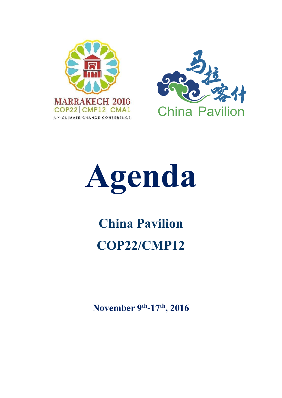





# **China Pavilion COP22/CMP12**

**November 9 th -17th , 2016**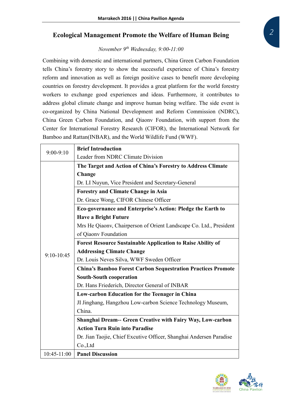#### **Ecological Management Promote the Welfare of Human Being**

#### *November 9th Wednesday, 9:00-11:00*

Combining with domestic and international partners, China Green Carbon Foundation tells China's forestry story to show the successful experience of China's forestry reform and innovation as well as foreign positive cases to benefit more developing countries on forestry development. It provides a great platform for the world forestry workers to exchange good experiences and ideas. Furthermore, it contributes to address global climate change and improve human being welfare. The side event is co-organized by China National Development and Reform Commission (NDRC), China Green Carbon Foundation, and Qiaonv Foundation, with support from the Center for International Forestry Research (CIFOR), the International Network for Bamboo and Rattan(INBAR), and the World Wildlife Fund (WWF).

| $9:00-9:10$  | <b>Brief Introduction</b>                                           |
|--------------|---------------------------------------------------------------------|
|              | Leader from NDRC Climate Division                                   |
|              | The Target and Action of China's Forestry to Address Climate        |
|              | Change                                                              |
|              | Dr. LI Nuyun, Vice President and Secretary-General                  |
|              | <b>Forestry and Climate Change in Asia</b>                          |
|              | Dr. Grace Wong, CIFOR Chinese Officer                               |
|              | Eco-governance and Enterprise's Action: Pledge the Earth to         |
|              | <b>Have a Bright Future</b>                                         |
|              | Mrs He Qiaony, Chairperson of Orient Landscape Co. Ltd., President  |
|              | of Qiaonv Foundation                                                |
|              | <b>Forest Resource Sustainable Application to Raise Ability of</b>  |
| $9:10-10:45$ | <b>Addressing Climate Change</b>                                    |
|              | Dr. Louis Neves Silva, WWF Sweden Officer                           |
|              | <b>China's Bamboo Forest Carbon Sequestration Practices Promote</b> |
|              | <b>South-South cooperation</b>                                      |
|              | Dr. Hans Friederich, Director General of INBAR                      |
|              | Low-carbon Education for the Teenager in China                      |
|              | JI Jinghang, Hangzhou Low-carbon Science Technology Museum,         |
|              | China.                                                              |
|              | <b>Shanghai Dream-- Green Creative with Fairy Way, Low-carbon</b>   |
|              | <b>Action Turn Ruin into Paradise</b>                               |
|              | Dr. Jian Taojie, Chief Excutive Officer, Shanghai Andersen Paradise |
|              | $Co$ ., Ltd                                                         |
| 10:45-11:00  | <b>Panel Discussion</b>                                             |

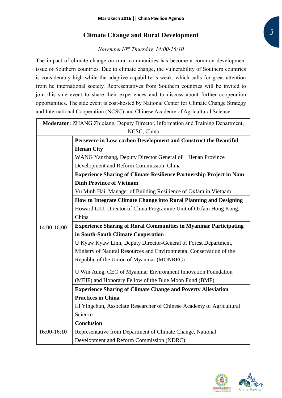#### **Climate Change and Rural Development**

#### *November10th Thursday, 14:00-16:10*

The impact of climate change on rural communities has become a common development issue of Southern countries. Due to climate change, the vulnerability of Southern countries is considerably high while the adaptive capability is weak, which calls for great attention from he international society. Representatives from Southern countries will be invited to join this side event to share their experiences and to discuss about further cooperation opportunities. The side event is cost-hosted by National Center for Climate Change Strategy and International Cooperation (NCSC) and Chinese Academy of Agricultural Science.

|             | Moderator: ZHANG Zhiqiang, Deputy Director, Information and Training Department, |
|-------------|----------------------------------------------------------------------------------|
|             | NCSC, China                                                                      |
|             | Persevere in Low-carbon Development and Construct the Beautiful                  |
|             | <b>Henan City</b>                                                                |
|             | WANG Yanzhang, Deputy Director General of Henan Province                         |
|             | Development and Reform Commission, China                                         |
|             | <b>Experience Sharing of Climate Resilience Partnership Project in Nam</b>       |
|             | <b>Dinh Province of Vietnam</b>                                                  |
|             | Vu Minh Hai, Manager of Building Resilience of Oxfam in Vietnam                  |
|             | How to Integrate Climate Change into Rural Planning and Designing                |
|             | Howard LIU, Director of China Programme Unit of Oxfam Hong Kong.                 |
|             | China                                                                            |
| 14:00-16:00 | <b>Experience Sharing of Rural Communities in Myanmar Participating</b>          |
|             | in South-South Climate Cooperation                                               |
|             | U Kyaw Kyaw Linn, Deputy Director-General of Forest Department,                  |
|             | Ministry of Natural Resources and Environmental Conservation of the              |
|             | Republic of the Union of Myanmar (MONREC)                                        |
|             | U Win Aung, CEO of Myanmar Environment Innovation Foundation                     |
|             | (MEIF) and Honorary Fellow of the Blue Moon Fund (BMF)                           |
|             | <b>Experience Sharing of Climate Change and Poverty Alleviation</b>              |
|             | <b>Practices in China</b>                                                        |
|             | LI Yingchun, Associate Researcher of Chinese Academy of Agricultural             |
|             | Science                                                                          |
|             | <b>Conclusion</b>                                                                |
| 16:00-16:10 | Representative from Department of Climate Change, National                       |
|             | Development and Reform Commission (NDRC)                                         |
|             |                                                                                  |

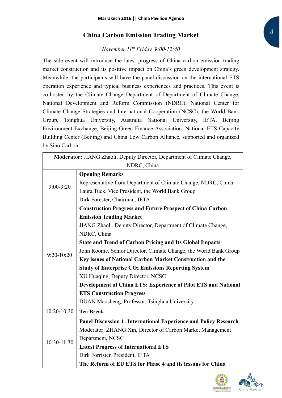#### **China Carbon Emission Trading Market**

#### *November 11th Friday, 9:00-12:40*

The side event will introduce the latest progress of China carbon emission trading market construction and its positive impact on China's green development strategy. Meanwhile, the participants will have the panel discussion on the international ETS operation experience and typical business experiences and practices. This event is co-hosted by the Climate Change Department of Department of Climate Change, National Development and Reform Commission (NDRC), National Center for Climate Change Strategies and International Cooperation (NCSC), the World Bank Group, Tsinghua University, Australia National University, IETA, Beijing Environment Exchange, Beijing Green Finance Association, National ETS Capacity Building Center (Beijing) and China Low Carbon Alliance, supported and organized by Sino Carbon.

| Moderator: JIANG Zhaoli, Deputy Director, Department of Climate Change, |                                                                      |  |
|-------------------------------------------------------------------------|----------------------------------------------------------------------|--|
|                                                                         | NDRC, China                                                          |  |
| $9:00-9:20$                                                             | <b>Opening Remarks</b>                                               |  |
|                                                                         | Representative from Department of Climate Change, NDRC, China        |  |
|                                                                         | Laura Tuck, Vice President, the World Bank Group                     |  |
|                                                                         | Dirk Forester, Chairman, IETA                                        |  |
|                                                                         | <b>Construction Progress and Future Prospect of China Carbon</b>     |  |
|                                                                         | <b>Emission Trading Market</b>                                       |  |
|                                                                         | JIANG Zhaoli, Deputy Director, Department of Climate Change,         |  |
|                                                                         | NDRC, China                                                          |  |
|                                                                         | <b>State and Trend of Carbon Pricing and Its Global Impacts</b>      |  |
| $9:20-10:20$                                                            | John Roome, Senior Director, Climate Change, the World Bank Group    |  |
|                                                                         | Key issues of National Carbon Market Construction and the            |  |
|                                                                         | <b>Study of Enterprise CO<sub>2</sub> Emissions Reporting System</b> |  |
|                                                                         | XU Huaqing, Deputy Director, NCSC                                    |  |
|                                                                         | Development of China ETS: Experience of Pilot ETS and National       |  |
|                                                                         | <b>ETS Construction Progress</b>                                     |  |
|                                                                         | DUAN Maosheng, Professor, Tsinghua University                        |  |
| 10:20-10:30                                                             | <b>Tea Break</b>                                                     |  |
|                                                                         | Panel Discussion 1: International Experience and Policy Research     |  |
|                                                                         | Moderator: ZHANG Xin, Director of Carbon Market Management           |  |
|                                                                         | Department, NCSC                                                     |  |
| 10:30-11:30                                                             | <b>Latest Progress of International ETS</b>                          |  |
|                                                                         | Dirk Forrister, President, IETA                                      |  |
|                                                                         | The Reform of EU ETS for Phase 4 and its lessons for China           |  |



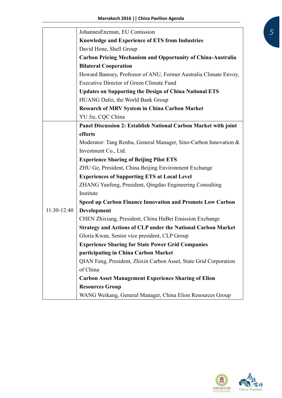|               | Johannes Enzman, EU Comission                                       |
|---------------|---------------------------------------------------------------------|
|               | Knowledge and Experience of ETS from Industries                     |
|               | David Hone, Shell Group                                             |
|               | <b>Carbon Pricing Mechanism and Opportunity of China-Australia</b>  |
|               | <b>Bilateral Cooperation</b>                                        |
|               | Howard Bamsey, Professor of ANU, Former Australia Climate Envoy,    |
|               | <b>Executive Director of Green Climate Fund</b>                     |
|               | <b>Updates on Supporting the Design of China National ETS</b>       |
|               | HUANG Dafei, the World Bank Group                                   |
|               | <b>Research of MRV System in China Carbon Market</b>                |
|               | YU Jie, CQC China                                                   |
|               | Panel Discussion 2: Establish National Carbon Market with joint     |
|               | efforts                                                             |
|               | Moderator: Tang Renhu, General Manager, Sino-Carbon Innovation &    |
|               | Investment Co., Ltd.                                                |
|               | <b>Experience Sharing of Beijing Pilot ETS</b>                      |
|               | ZHU Ge, President, China Beijing Environment Exchange               |
|               | <b>Experiences of Supporting ETS at Local Level</b>                 |
|               | ZHANG Yunfeng, President, Qingdao Engineering Consulting            |
|               | Institute                                                           |
|               | Speed up Carbon Finance Innovation and Promote Low Carbon           |
| $11:30-12:40$ | Development                                                         |
|               | CHEN Zhixiang, President, China HuBei Emission Exchange             |
|               | <b>Strategy and Actions of CLP under the National Carbon Market</b> |
|               | Gloria Kwan, Senior vice president, CLP Group                       |
|               | <b>Experience Sharing for State Power Grid Companies</b>            |
|               | participating in China Carbon Market                                |
|               | QIAN Feng, President, Zhixin Carbon Asset, State Grid Corporation   |
|               | of China                                                            |
|               | <b>Carbon Asset Management Experience Sharing of Elion</b>          |
|               | <b>Resources Group</b>                                              |
|               | WANG Weikang, General Manager, China Elion Resources Group          |

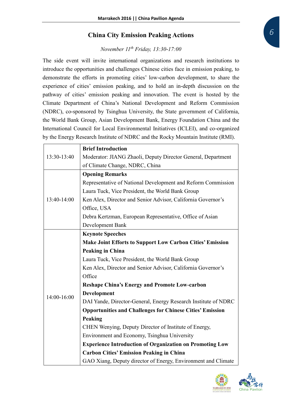#### **China City Emission Peaking Actions**

#### *November 11th Friday, 13:30-17:00*

The side event will invite international organizations and research institutions to introduce the opportunities and challenges Chinese cities face in emission peaking, to demonstrate the efforts in promoting cities' low-carbon development, to share the experience of cities' emission peaking, and to hold an in-depth discussion on the pathway of cities' emission peaking and innovation. The event is hosted by the Climate Department of China's National Development and Reform Commission (NDRC), co-sponsored by Tsinghua University, the State government of California, the World Bank Group, Asian Development Bank, Energy Foundation China and the International Council for Local Environmental Initiatives (ICLEI), and co-organized by the Energy Research Institute of NDRC and the Rocky Mountain Institute (RMI).

|             | <b>Brief Introduction</b>                                        |
|-------------|------------------------------------------------------------------|
| 13:30-13:40 | Moderator: JIANG Zhaoli, Deputy Director General, Department     |
|             | of Climate Change, NDRC, China                                   |
|             | <b>Opening Remarks</b>                                           |
|             | Representative of National Development and Reform Commission     |
|             | Laura Tuck, Vice President, the World Bank Group                 |
| 13:40-14:00 | Ken Alex, Director and Senior Advisor, California Governor's     |
|             | Office, USA                                                      |
|             | Debra Kertzman, European Representative, Office of Asian         |
|             | Development Bank                                                 |
|             | <b>Keynote Speeches</b>                                          |
|             | <b>Make Joint Efforts to Support Low Carbon Cities' Emission</b> |
|             | <b>Peaking in China</b>                                          |
|             | Laura Tuck, Vice President, the World Bank Group                 |
|             | Ken Alex, Director and Senior Advisor, California Governor's     |
|             | Office                                                           |
|             | <b>Reshape China's Energy and Promote Low-carbon</b>             |
| 14:00-16:00 | Development                                                      |
|             | DAI Yande, Director-General, Energy Research Institute of NDRC   |
|             | <b>Opportunities and Challenges for Chinese Cities' Emission</b> |
|             | Peaking                                                          |
|             | CHEN Wenying, Deputy Director of Institute of Energy,            |
|             | Environment and Economy, Tsinghua University                     |
|             | <b>Experience Introduction of Organization on Promoting Low</b>  |
|             | <b>Carbon Cities' Emission Peaking in China</b>                  |
|             | GAO Xiang, Deputy director of Energy, Environment and Climate    |



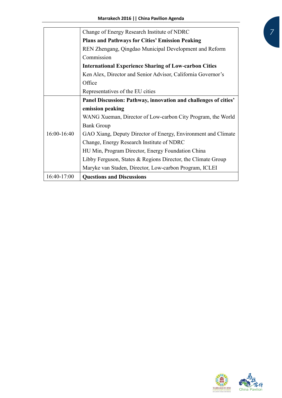|             | Change of Energy Research Institute of NDRC                     |
|-------------|-----------------------------------------------------------------|
|             | <b>Plans and Pathways for Cities' Emission Peaking</b>          |
|             | REN Zhengang, Qingdao Municipal Development and Reform          |
|             | Commission                                                      |
|             | <b>International Experience Sharing of Low-carbon Cities</b>    |
|             | Ken Alex, Director and Senior Advisor, California Governor's    |
|             | Office                                                          |
|             | Representatives of the EU cities                                |
|             | Panel Discussion: Pathway, innovation and challenges of cities' |
|             | emission peaking                                                |
|             | WANG Xueman, Director of Low-carbon City Program, the World     |
|             | <b>Bank Group</b>                                               |
| 16:00-16:40 | GAO Xiang, Deputy Director of Energy, Environment and Climate   |
|             | Change, Energy Research Institute of NDRC                       |
|             | HU Min, Program Director, Energy Foundation China               |
|             | Libby Ferguson, States $&$ Regions Director, the Climate Group  |
|             | Maryke van Staden, Director, Low-carbon Program, ICLEI          |
| 16:40-17:00 | <b>Questions and Discussions</b>                                |

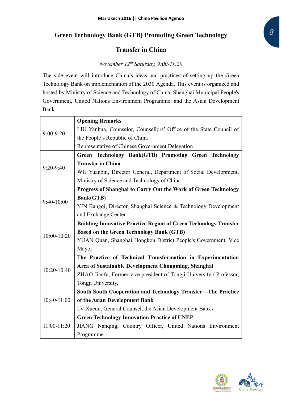### **Green Technology Bank (GTB) Promoting Green Technology**

#### **Transfer in China**

### *November 12th Saturday, 9:00-11:20*

The side event will introduce China's ideas and practices of setting up the Green Technology Bank on implementation of the 2030 Agenda. This event is organized and hosted by Ministry of Science and Technology of China, Shanghai Municipal People's Government, United Nations Environment Programme, and the Asian Development Bank.

|             | <b>Opening Remarks</b>                                                  |
|-------------|-------------------------------------------------------------------------|
| 9:00-9:20   | LIU Yanhua, Counselor, Counsellors' Office of the State Council of      |
|             | the People's Republic of China                                          |
|             | Representative of Chinese Government Delegation                         |
|             | Green Technology Bank(GTB) Promoting Green Technology                   |
| 9:20-9:40   | <b>Transfer in China</b>                                                |
|             | WU Yuanbin, Director General, Department of Social Development,         |
|             | Ministry of Science and Technology of China                             |
|             | Progress of Shanghai to Carry Out the Work of Green Technology          |
| 9:40-10:00  | <b>Bank(GTB)</b>                                                        |
|             | YIN Bangqi, Director, Shanghai Science & Technology Development         |
|             | and Exchange Center                                                     |
|             | <b>Building Innovative Practice Region of Green Technology Transfer</b> |
| 10:00-10:20 | <b>Based on the Green Technology Bank (GTB)</b>                         |
|             | YUAN Quan, Shanghai Hongkou District People's Government, Vice          |
|             | Mayor                                                                   |
|             | The Practice of Technical Transformation in Experimentation             |
| 10:20-10:40 | Area of Sustainable Development Chongming, Shanghai                     |
|             | ZHAO Jianfu, Former vice president of Tongji University / Professor,    |
|             | Tongji University,                                                      |
|             | South South Cooperation and Technology Transfer---The Practice          |
| 10:40-11:00 | of the Asian Development Bank                                           |
|             | LV Xuedu, General Counsel, the Asian Development Bank,                  |
|             | <b>Green Technology Innovation Practice of UNEP</b>                     |
| 11:00-11:20 | JIANG Nanqing, Country Officer, United Nations Environment              |
|             | Programme                                                               |

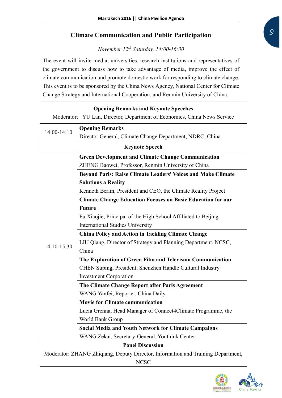#### **Climate Communication and Public Participation**

*November 12th Saturday, 14:00-16:30*

The event will invite media, universities, research institutions and representatives of the government to discuss how to take advantage of media, improve the effect of climate communication and promote domestic work for responding to climate change. This event is to be sponsored by the China News Agency, National Center for Climate Change Strategy and International Cooperation, and Renmin University of China.

| <b>Opening Remarks and Keynote Speeches</b>                                      |                                                                          |  |
|----------------------------------------------------------------------------------|--------------------------------------------------------------------------|--|
|                                                                                  | Moderator: YU Lan, Director, Department of Economics, China News Service |  |
| 14:00-14:10                                                                      | <b>Opening Remarks</b>                                                   |  |
|                                                                                  | Director General, Climate Change Department, NDRC, China                 |  |
|                                                                                  | <b>Keynote Speech</b>                                                    |  |
|                                                                                  | <b>Green Development and Climate Change Communication</b>                |  |
|                                                                                  | ZHENG Baowei, Professor, Renmin University of China                      |  |
|                                                                                  | <b>Beyond Paris: Raise Climate Leaders' Voices and Make Climate</b>      |  |
|                                                                                  | <b>Solutions a Reality</b>                                               |  |
|                                                                                  | Kenneth Berlin, President and CEO, the Climate Reality Project           |  |
|                                                                                  | <b>Climate Change Education Focuses on Basic Education for our</b>       |  |
|                                                                                  | <b>Future</b>                                                            |  |
|                                                                                  | Fu Xiaojie, Principal of the High School Affiliated to Beijing           |  |
|                                                                                  | <b>International Studies University</b>                                  |  |
|                                                                                  | <b>China Policy and Action in Tackling Climate Change</b>                |  |
| 14:10-15:30                                                                      | LIU Qiang, Director of Strategy and Planning Department, NCSC,           |  |
|                                                                                  | China                                                                    |  |
|                                                                                  | The Exploration of Green Film and Television Communication               |  |
|                                                                                  | CHEN Suping, President, Shenzhen Handle Cultural Industry                |  |
|                                                                                  | <b>Investment Corporation</b>                                            |  |
|                                                                                  | The Climate Change Report after Paris Agreement                          |  |
|                                                                                  | WANG Yanfei, Reporter, China Daily                                       |  |
|                                                                                  | <b>Movie for Climate communication</b>                                   |  |
|                                                                                  | Lucia Grenna, Head Manager of Connect4Climate Programme, the             |  |
|                                                                                  | World Bank Group                                                         |  |
|                                                                                  | <b>Social Media and Youth Network for Climate Campaigns</b>              |  |
|                                                                                  | WANG Zekai, Secretary-General, Youthink Center                           |  |
|                                                                                  | <b>Panel Discussion</b>                                                  |  |
| Moderator: ZHANG Zhiqiang, Deputy Director, Information and Training Department, |                                                                          |  |
| <b>NCSC</b>                                                                      |                                                                          |  |

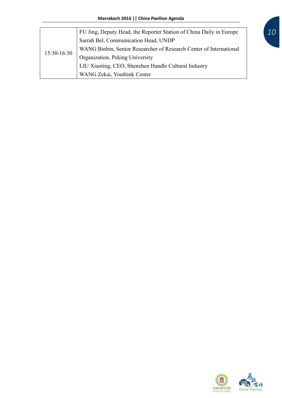| 15:30-16:30 | FU Jing, Deputy Head, the Reporter Station of China Daily in Europe |
|-------------|---------------------------------------------------------------------|
|             | Sarrah Bel, Communication Head, UNDP                                |
|             | WANG Binbin, Senior Researcher of Research Center of International  |
|             | Organization, Peking University                                     |
|             | LIU Xiaoting, CEO, Shenzhen Handle Cultural Industry                |
|             | WANG Zekai, Youthink Center                                         |

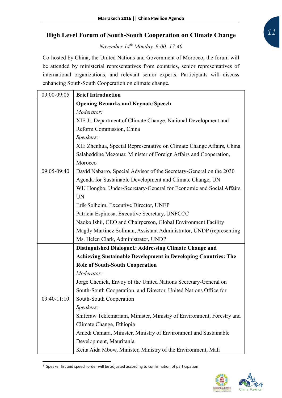#### **High Level Forum of South-South Cooperation on Climate Change**

*November 14th Monday, 9:00 -17:40*

Co-hosted by China, the United Nations and Government of Morocco, the forum will be attended by ministerial representatives from countries, senior representatives of international organizations, and relevant senior experts. Participants will discuss enhancing South-South Cooperation on climate change.

| 09:00-09:05   | <b>Brief Introduction</b>                                             |
|---------------|-----------------------------------------------------------------------|
|               | <b>Opening Remarks and Keynote Speech</b>                             |
|               | Moderator:                                                            |
|               | XIE Ji, Department of Climate Change, National Development and        |
|               | Reform Commission, China                                              |
|               | Speakers:                                                             |
|               | XIE Zhenhua, Special Representative on Climate Change Affairs, China  |
|               | Salaheddine Mezouar, Minister of Foreign Affairs and Cooperation,     |
|               | Morocco                                                               |
| 09:05-09:40   | David Nabarro, Special Advisor of the Secretary-General on the 2030   |
|               | Agenda for Sustainable Development and Climate Change, UN             |
|               | WU Hongbo, Under-Secretary-General for Economic and Social Affairs,   |
|               | <b>UN</b>                                                             |
|               | Erik Solheim, Executive Director, UNEP                                |
|               | Patricia Espinosa, Executive Secretary, UNFCCC                        |
|               | Naoko Ishii, CEO and Chairperson, Global Environment Facility         |
|               | Magdy Martinez Soliman, Assistant Administrator, UNDP (representing   |
|               | Ms. Helen Clark, Administrator, UNDP                                  |
|               | <b>Distinguished Dialogue1: Addressing Climate Change and</b>         |
|               | <b>Achieving Sustainable Development in Developing Countries: The</b> |
|               | <b>Role of South-South Cooperation</b>                                |
|               | Moderator:                                                            |
|               | Jorge Chediek, Envoy of the United Nations Secretary-General on       |
|               | South-South Cooperation, and Director, United Nations Office for      |
| $09:40-11:10$ | South-South Cooperation                                               |
|               | Speakers:                                                             |
|               | Shiferaw Teklemariam, Minister, Ministry of Environment, Forestry and |
|               | Climate Change, Ethiopia                                              |
|               | Amedi Camara, Minister, Ministry of Environment and Sustainable       |
|               | Development, Mauritania                                               |
|               | Keita Aida Mbow, Minister, Ministry of the Environment, Mali          |

<sup>&</sup>lt;sup>1</sup> Speaker list and speech order will be adjusted according to confirmation of participation

-

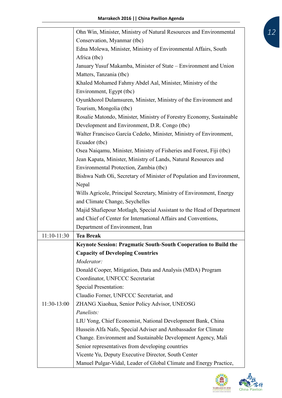|               | Ohn Win, Minister, Ministry of Natural Resources and Environmental     |
|---------------|------------------------------------------------------------------------|
|               | Conservation, Myanmar (tbc)                                            |
|               | Edna Molewa, Minister, Ministry of Environmental Affairs, South        |
|               | Africa (tbc)                                                           |
|               | January Yusuf Makamba, Minister of State – Environment and Union       |
|               | Matters, Tanzania (tbc)                                                |
|               | Khaled Mohamed Fahmy Abdel Aal, Minister, Ministry of the              |
|               | Environment, Egypt (tbc)                                               |
|               | Oyunkhorol Dulamsuren, Minister, Ministry of the Environment and       |
|               | Tourism, Mongolia (tbc)                                                |
|               | Rosalie Matondo, Minister, Ministry of Forestry Economy, Sustainable   |
|               | Development and Environment, D.R. Congo (tbc)                          |
|               | Walter Francisco García Cedeño, Minister, Ministry of Environment,     |
|               | Ecuador (tbc)                                                          |
|               | Osea Naigamu, Minister, Ministry of Fisheries and Forest, Fiji (tbc)   |
|               | Jean Kapata, Minister, Ministry of Lands, Natural Resources and        |
|               | Environmental Protection, Zambia (tbc)                                 |
|               | Bishwa Nath Oli, Secretary of Minister of Population and Environment,  |
|               | Nepal                                                                  |
|               | Wills Agricole, Principal Secretary, Ministry of Environment, Energy   |
|               | and Climate Change, Seychelles                                         |
|               | Majid Shafiepour Motlagh, Special Assistant to the Head of Department  |
|               | and Chief of Center for International Affairs and Conventions,         |
|               | Department of Environment, Iran                                        |
| $11:10-11:30$ | <b>Tea Break</b>                                                       |
|               | <b>Keynote Session: Pragmatic South-South Cooperation to Build the</b> |
|               | <b>Capacity of Developing Countries</b>                                |
|               | Moderator:                                                             |
|               | Donald Cooper, Mitigation, Data and Analysis (MDA) Program             |
|               | Coordinator, UNFCCC Secretariat                                        |
|               | <b>Special Presentation:</b>                                           |
|               | Claudio Forner, UNFCCC Secretariat, and                                |
| 11:30-13:00   | ZHANG Xiaohua, Senior Policy Advisor, UNEOSG                           |
|               | Panelists:                                                             |
|               | LIU Yong, Chief Economist, National Development Bank, China            |
|               | Hussein Alfa Nafo, Special Adviser and Ambassador for Climate          |
|               | Change. Environment and Sustainable Development Agency, Mali           |
|               | Senior representatives from developing countries                       |
|               | Vicente Yu, Deputy Executive Director, South Center                    |
|               | Manuel Pulgar-Vidal, Leader of Global Climate and Energy Practice,     |



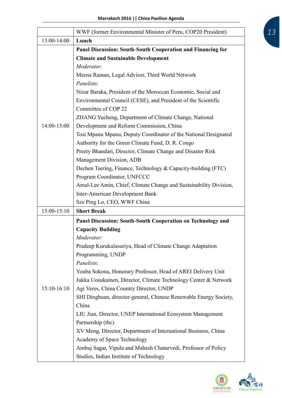|               | WWF (former Environmental Minister of Peru, COP20 President)                                              |
|---------------|-----------------------------------------------------------------------------------------------------------|
| 13:00-14:00   | Lunch                                                                                                     |
|               | Panel Discussion: South-South Cooperation and Financing for                                               |
|               | <b>Climate and Sustainable Development</b>                                                                |
|               | Moderator:                                                                                                |
|               | Meena Raman, Legal Advisor, Third World Network                                                           |
|               | Panelists:                                                                                                |
|               | Nizar Baraka, President of the Moroccan Economic, Social and                                              |
|               | Environmental Council (CESE), and President of the Scientific                                             |
|               | Committee of COP 22                                                                                       |
|               | ZHANG Yucheng, Department of Climate Change, National                                                     |
| 14:00-15:00   | Development and Reform Commission, China                                                                  |
|               | Tosi Mpanu Mpanu, Deputy Coordinator of the National Designated                                           |
|               | Authority for the Green Climate Fund, D. R. Congo                                                         |
|               | Preety Bhandari, Director, Climate Change and Disaster Risk                                               |
|               | Management Division, ADB                                                                                  |
|               | Dechen Tsering, Finance, Technology & Capacity-building (FTC)                                             |
|               | Program Coordinator, UNFCCC                                                                               |
|               | Amal-Lee Amin, Chief, Climate Change and Sustainability Division,                                         |
|               | <b>Inter-American Development Bank</b>                                                                    |
|               | Sze Ping Lo, CEO, WWF China                                                                               |
| $15:00-15:10$ | <b>Short Break</b>                                                                                        |
|               | Panel Discussion: South-South Cooperation on Technology and                                               |
|               | <b>Capacity Building</b>                                                                                  |
|               | Moderator:                                                                                                |
|               | Pradeep Kurukulasuriya, Head of Climate Change Adaptation                                                 |
|               | Programming, UNDP                                                                                         |
|               | Panelists:                                                                                                |
|               | Youba Sokona, Honorary Professor, Head of AREI Delivery Unit                                              |
|               |                                                                                                           |
|               | Jukka Uosukainen, Director, Climate Technology Center & Network                                           |
| $15:10-16:10$ | Agi Veres, China Country Director, UNDP                                                                   |
|               | SHI Dinghuan, director-general, Chinese Renewable Energy Society,                                         |
|               | China                                                                                                     |
|               | LIU Jian, Director, UNEP International Ecosystem Management                                               |
|               | Partnership (tbc)                                                                                         |
|               | XV Meng, Director, Department of International Business, China                                            |
|               | Academy of Space Technology                                                                               |
|               | Ambuj Sagar, Vipula and Mahesh Chaturvedi, Professor of Policy<br>Studies, Indian Institute of Technology |

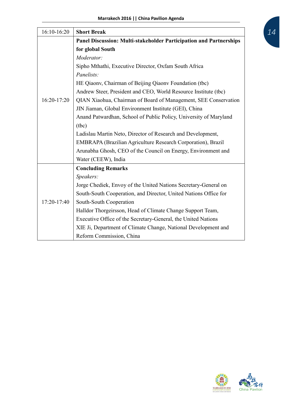| 16:10-16:20 | <b>Short Break</b>                                                        |
|-------------|---------------------------------------------------------------------------|
|             | <b>Panel Discussion: Multi-stakeholder Participation and Partnerships</b> |
|             | for global South                                                          |
|             | Moderator:                                                                |
|             | Sipho Mthathi, Executive Director, Oxfam South Africa                     |
|             | Panelists:                                                                |
|             | HE Qiaony, Chairman of Beijing Qiaony Foundation (tbc)                    |
|             | Andrew Steer, President and CEO, World Resource Institute (tbc)           |
| 16:20-17:20 | QIAN Xiaohua, Chairman of Board of Management, SEE Conservation           |
|             | JIN Jiaman, Global Environment Institute (GEI), China                     |
|             | Anand Patwardhan, School of Public Policy, University of Maryland         |
|             | (tbc)                                                                     |
|             | Ladislau Martin Neto, Director of Research and Development,               |
|             | EMBRAPA (Brazilian Agriculture Research Corporation), Brazil              |
|             | Arunabha Ghosh, CEO of the Council on Energy, Environment and             |
|             | Water (CEEW), India                                                       |
|             | <b>Concluding Remarks</b>                                                 |
|             | Speakers:                                                                 |
|             | Jorge Chediek, Envoy of the United Nations Secretary-General on           |
|             | South-South Cooperation, and Director, United Nations Office for          |
| 17:20-17:40 | South-South Cooperation                                                   |
|             | Halldor Thorgeirsson, Head of Climate Change Support Team,                |
|             | Executive Office of the Secretary-General, the United Nations             |
|             | XIE Ji, Department of Climate Change, National Development and            |
|             | Reform Commission, China                                                  |

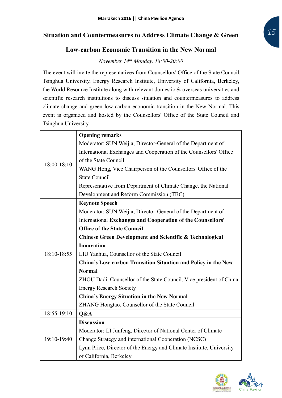#### **Situation and Countermeasures to Address Climate Change & Green**

#### **Low-carbon Economic Transition in the New Normal**

*November 14th Monday, 18:00-20:00*

The event will invite the representatives from Counsellors' Office of the State Council, Tsinghua University, Energy Research Institute, University of California, Berkeley, the World Resource Institute along with relevant domestic & overseas universities and scientific research institutions to discuss situation and countermeasures to address climate change and green low-carbon economic transition in the New Normal. This event is organized and hosted by the Counsellors' Office of the State Council and Tsinghua University.

|             | <b>Opening remarks</b>                                               |
|-------------|----------------------------------------------------------------------|
|             | Moderator: SUN Weijia, Director-General of the Department of         |
|             | International Exchanges and Cooperation of the Counsellors' Office   |
| 18:00-18:10 | of the State Council                                                 |
|             | WANG Hong, Vice Chairperson of the Counsellors' Office of the        |
|             | <b>State Council</b>                                                 |
|             | Representative from Department of Climate Change, the National       |
|             | Development and Reform Commission (TBC)                              |
|             | <b>Keynote Speech</b>                                                |
|             | Moderator: SUN Weijia, Director-General of the Department of         |
|             | <b>International Exchanges and Cooperation of the Counsellors'</b>   |
|             | <b>Office of the State Council</b>                                   |
|             | <b>Chinese Green Development and Scientific &amp; Technological</b>  |
|             | <b>Innovation</b>                                                    |
| 18:10-18:55 | LIU Yanhua, Counsellor of the State Council                          |
|             | China's Low-carbon Transition Situation and Policy in the New        |
|             | <b>Normal</b>                                                        |
|             | ZHOU Dadi, Counsellor of the State Council, Vice president of China  |
|             | <b>Energy Research Society</b>                                       |
|             | <b>China's Energy Situation in the New Normal</b>                    |
|             | ZHANG Hongtao, Counsellor of the State Council                       |
| 18:55-19:10 | Q&A                                                                  |
|             | <b>Discussion</b>                                                    |
|             | Moderator: LI Junfeng, Director of National Center of Climate        |
| 19:10-19:40 | Change Strategy and international Cooperation (NCSC)                 |
|             | Lynn Price, Director of the Energy and Climate Institute, University |
|             | of California, Berkeley                                              |

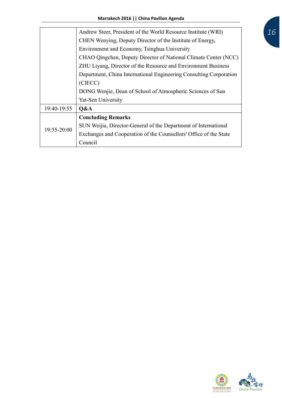|                 | Andrew Steer, President of the World Resource Institute (WRI)      |
|-----------------|--------------------------------------------------------------------|
|                 | CHEN Wenying, Deputy Director of the Institute of Energy,          |
|                 | Environment and Economy, Tsinghua University                       |
|                 | CHAO Qingchen, Deputy Director of National Climate Center (NCC)    |
|                 | ZHU Liyang, Director of the Resource and Environment Business      |
|                 | Department, China International Engineering Consulting Corporation |
|                 | (CIECC)                                                            |
|                 | DONG Wenjie, Dean of School of Atmospheric Sciences of Sun         |
|                 | Yat-Sen University                                                 |
| 19:40-19:55     | Q&A                                                                |
|                 | <b>Concluding Remarks</b>                                          |
| $19:55 - 20:00$ | SUN Weijia, Director-General of the Department of International    |
|                 | Exchanges and Cooperation of the Counsellors' Office of the State  |
|                 | Council                                                            |

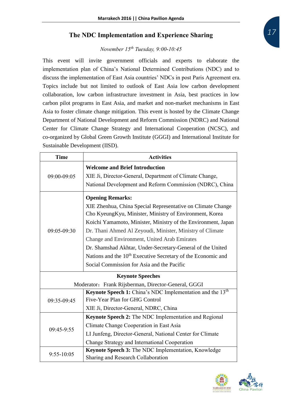#### **The NDC Implementation and Experience Sharing**

#### *November 15th Tuesday, 9:00-10:45*

This event will invite government officials and experts to elaborate the implementation plan of China's National Determined Contributions (NDC) and to discuss the implementation of East Asia countries' NDCs in post Paris Agreement era. Topics include but not limited to outlook of East Asia low carbon development collaboration, low carbon infrastructure investment in Asia, best practices in low carbon pilot programs in East Asia, and market and non-market mechanisms in East Asia to foster climate change mitigation. This event is hosted by the Climate Change Department of National Development and Reform Commission (NDRC) and National Center for Climate Change Strategy and International Cooperation (NCSC), and co-organized by Global Green Growth Institute (GGGI) and International Institute for Sustainable Development (IISD).

| <b>Time</b> | <b>Activities</b>                                                                                                                                                                                                                                                                                                                                                                                                                                                                                                       |
|-------------|-------------------------------------------------------------------------------------------------------------------------------------------------------------------------------------------------------------------------------------------------------------------------------------------------------------------------------------------------------------------------------------------------------------------------------------------------------------------------------------------------------------------------|
| 09:00-09:05 | <b>Welcome and Brief Introduction</b><br>XIE Ji, Director-General, Department of Climate Change,<br>National Development and Reform Commission (NDRC), China                                                                                                                                                                                                                                                                                                                                                            |
| 09:05-09:30 | <b>Opening Remarks:</b><br>XIE Zhenhua, China Special Representative on Climate Change<br>Cho KyeungKyu, Minister, Ministry of Environment, Korea<br>Koichi Yamamoto, Minister, Ministry of the Environment, Japan<br>Dr. Thani Ahmed Al Zeyoudi, Minister, Ministry of Climate<br>Change and Environment, United Arab Emirates<br>Dr. Shamshad Akhtar, Under-Secretary-General of the United<br>Nations and the 10 <sup>th</sup> Executive Secretary of the Economic and<br>Social Commission for Asia and the Pacific |
|             | <b>Keynote Speeches</b>                                                                                                                                                                                                                                                                                                                                                                                                                                                                                                 |
|             | Moderator: Frank Rijsberman, Director-General, GGGI                                                                                                                                                                                                                                                                                                                                                                                                                                                                     |
| 09:35-09:45 | Keynote Speech 1: China's NDC Implementation and the 13 <sup>th</sup><br>Five-Year Plan for GHG Control<br>XIE Ji, Director-General, NDRC, China                                                                                                                                                                                                                                                                                                                                                                        |
| 09:45-9:55  | <b>Keynote Speech 2:</b> The NDC Implementation and Regional<br>Climate Change Cooperation in East Asia<br>LI Junfeng, Director-General, National Center for Climate<br>Change Strategy and International Cooperation                                                                                                                                                                                                                                                                                                   |
| 9:55-10:05  | Keynote Speech 3: The NDC Implementation, Knowledge<br>Sharing and Research Collaboration                                                                                                                                                                                                                                                                                                                                                                                                                               |

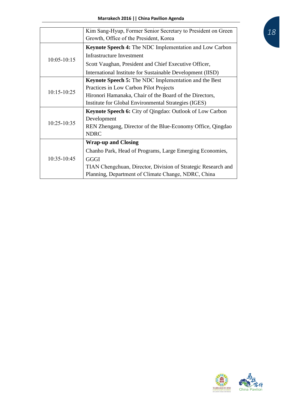|                 | Kim Sang-Hyup, Former Senior Secretary to President on Green    |
|-----------------|-----------------------------------------------------------------|
|                 | Growth, Office of the President, Korea                          |
|                 | <b>Keynote Speech 4:</b> The NDC Implementation and Low Carbon  |
| $10:05 - 10:15$ | <b>Infrastructure Investment</b>                                |
|                 | Scott Vaughan, President and Chief Executive Officer,           |
|                 | International Institute for Sustainable Development (IISD)      |
|                 | <b>Keynote Speech 5:</b> The NDC Implementation and the Best    |
|                 | Practices in Low Carbon Pilot Projects                          |
| 10:15-10:25     | Hironori Hamanaka, Chair of the Board of the Directors,         |
|                 | Institute for Global Environmental Strategies (IGES)            |
|                 | <b>Keynote Speech 6:</b> City of Qingdao: Outlook of Low Carbon |
|                 | Development                                                     |
| 10:25-10:35     | REN Zhengang, Director of the Blue-Economy Office, Qingdao      |
|                 | <b>NDRC</b>                                                     |
|                 | <b>Wrap-up and Closing</b>                                      |
|                 | Chanho Park, Head of Programs, Large Emerging Economies,        |
| 10:35-10:45     | <b>GGGI</b>                                                     |
|                 | TIAN Chengchuan, Director, Division of Strategic Research and   |
|                 | Planning, Department of Climate Change, NDRC, China             |

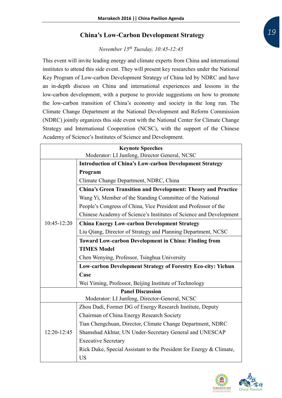#### **China's Low-Carbon Development Strategy**

#### *November 15th Tuesday, 10:45-12:45*

This event will invite leading energy and climate experts from China and international institutes to attend this side event. They will present key researches under the National Key Program of Low-carbon Development Strategy of China led by NDRC and have an in-depth discuss on China and international experiences and lessons in the low-carbon development, with a purpose to provide suggestions on how to promote the low-carbon transition of China's economy and society in the long run. The Climate Change Department at the National Development and Reform Commission (NDRC) jointly organizes this side event with the National Center for Climate Change Strategy and International Cooperation (NCSC), with the support of the Chinese Academy of Science's Institutes of Science and Development.

| <b>Keynote Speeches</b>                       |                                                                      |
|-----------------------------------------------|----------------------------------------------------------------------|
| Moderator: LI Junfeng, Director General, NCSC |                                                                      |
|                                               | <b>Introduction of China's Low-carbon Development Strategy</b>       |
|                                               | Program                                                              |
|                                               | Climate Change Department, NDRC, China                               |
|                                               | <b>China's Green Transition and Development: Theory and Practice</b> |
|                                               | Wang Yi, Member of the Standing Committee of the National            |
|                                               | People's Congress of China, Vice President and Professor of the      |
|                                               | Chinese Academy of Science's Institutes of Science and Development   |
| 10:45-12:20                                   | <b>China Energy Low-carbon Development Strategy</b>                  |
|                                               | Liu Qiang, Director of Strategy and Planning Department, NCSC        |
|                                               | <b>Toward Low-carbon Development in China: Finding from</b>          |
|                                               | <b>TIMES Model</b>                                                   |
|                                               | Chen Wenying, Professor, Tsinghua University                         |
|                                               | <b>Low-carbon Development Strategy of Forestry Eco-city: Yichun</b>  |
|                                               | Case                                                                 |
|                                               | Wei Yiming, Professor, Beijing Institute of Technology               |
|                                               | <b>Panel Discussion</b>                                              |
|                                               | Moderator: LI Junfeng, Director-General, NCSC                        |
|                                               | Zhou Dadi, Former DG of Energy Research Institute, Deputy            |
|                                               | Chairman of China Energy Research Society                            |
|                                               | Tian Chengchuan, Director, Climate Change Department, NDRC           |
| 12:20-12:45                                   | Shamshad Akhtar, UN Under-Secretary General and UNESCAP              |
|                                               | <b>Executive Secretary</b>                                           |
|                                               | Rick Duke, Special Assistant to the President for Energy & Climate,  |
|                                               | <b>US</b>                                                            |

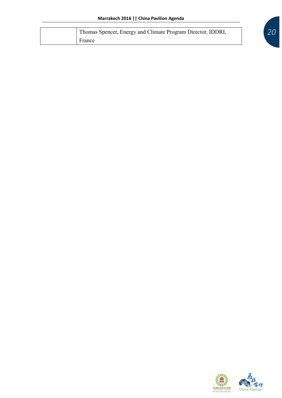|  | Thomas Spencer, Energy and Climate Program Director, IDDRI, |
|--|-------------------------------------------------------------|
|  | France                                                      |

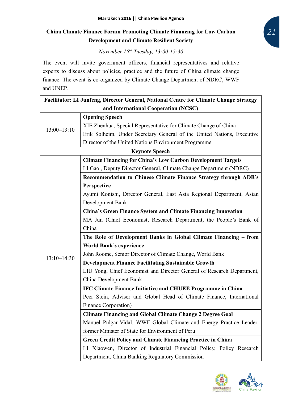#### **China Climate Finance Forum-Promoting Climate Financing for Low Carbon Development and Climate Resilient Society**

*November 15th Tuesday, 13:00-15:30*

The event will invite government officers, financial representatives and relative experts to discuss about policies, practice and the future of China climate change finance. The event is co-organized by Climate Change Department of NDRC, WWF and UNEP.

|                 | Facilitator: LI Junfeng, Director General, National Centre for Climate Change Strategy |  |
|-----------------|----------------------------------------------------------------------------------------|--|
|                 | and International Cooperation (NCSC)                                                   |  |
|                 | <b>Opening Speech</b>                                                                  |  |
|                 | XIE Zhenhua, Special Representative for Climate Change of China                        |  |
| $13:00 - 13:10$ | Erik Solheim, Under Secretary General of the United Nations, Executive                 |  |
|                 | Director of the United Nations Environment Programme                                   |  |
|                 | <b>Keynote Speech</b>                                                                  |  |
|                 | <b>Climate Financing for China's Low Carbon Development Targets</b>                    |  |
|                 | LI Gao, Deputy Director General, Climate Change Department (NDRC)                      |  |
|                 | Recommendation to Chinese Climate Finance Strategy through ADB's                       |  |
|                 | Perspective                                                                            |  |
|                 | Ayumi Konishi, Director General, East Asia Regional Department, Asian                  |  |
|                 | Development Bank                                                                       |  |
|                 | <b>China's Green Finance System and Climate Financing Innovation</b>                   |  |
|                 | MA Jun (Chief Economist, Research Department, the People's Bank of                     |  |
|                 | China                                                                                  |  |
|                 | The Role of Development Banks in Global Climate Financing - from                       |  |
|                 | <b>World Bank's experience</b>                                                         |  |
|                 | John Roome, Senior Director of Climate Change, World Bank                              |  |
| $13:10 - 14:30$ | <b>Development Finance Facilitating Sustainable Growth</b>                             |  |
|                 | LIU Yong, Chief Economist and Director General of Research Department,                 |  |
|                 | China Development Bank                                                                 |  |
|                 | <b>IFC Climate Finance Initiative and CHUEE Programme in China</b>                     |  |
|                 | Peer Stein, Adviser and Global Head of Climate Finance, International                  |  |
|                 | Finance Corporation)                                                                   |  |
|                 | <b>Climate Financing and Global Climate Change 2 Degree Goal</b>                       |  |
|                 | Manuel Pulgar-Vidal, WWF Global Climate and Energy Practice Leader,                    |  |
|                 | former Minister of State for Environment of Peru                                       |  |
|                 | <b>Green Credit Policy and Climate Financing Practice in China</b>                     |  |
|                 | LI Xiaowen, Director of Industrial Financial Policy, Policy Research                   |  |
|                 | Department, China Banking Regulatory Commission                                        |  |

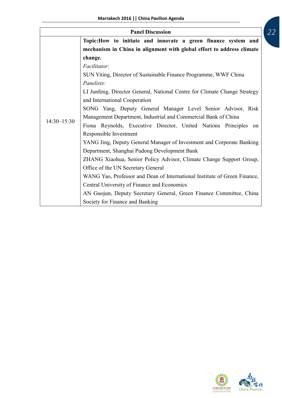| <b>Panel Discussion</b> |                                                                           |
|-------------------------|---------------------------------------------------------------------------|
|                         | Topic: How to initiate and innovate a green finance system and            |
|                         | mechanism in China in alignment with global effort to address climate     |
|                         | change.                                                                   |
|                         | Facilitator:                                                              |
|                         | SUN Yiting, Director of Sustainable Finance Programme, WWF China          |
|                         | Panelists:                                                                |
|                         | LI Junfeng, Director General, National Centre for Climate Change Strategy |
|                         | and International Cooperation                                             |
|                         | SONG Yang, Deputy General Manager Level Senior Advisor, Risk              |
| $14:30 - 15:30$         | Management Department, Industrial and Commercial Bank of China            |
|                         | Fiona Reynolds, Executive Director, United Nations Principles<br>on       |
|                         | Responsible Investment                                                    |
|                         | YANG Jing, Deputy General Manager of Investment and Corporate Banking     |
|                         | Department, Shanghai Pudong Development Bank                              |
|                         | ZHANG Xiaohua, Senior Policy Advisor, Climate Change Support Group,       |
|                         | Office of the UN Secretary General                                        |
|                         | WANG Yao, Professor and Dean of International Institute of Green Finance, |
|                         | Central University of Finance and Economics                               |
|                         | AN Guojun, Deputy Secretary General, Green Finance Committee, China       |
|                         | Society for Finance and Banking                                           |

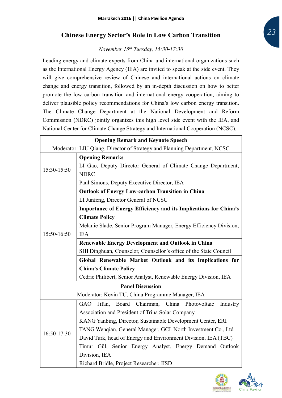#### **Chinese Energy Sector's Role in Low Carbon Transition**

#### *November 15th Tuesday, 15:30-17:30*

Leading energy and climate experts from China and international organizations such as the International Energy Agency (IEA) are invited to speak at the side event. They will give comprehensive review of Chinese and international actions on climate change and energy transition, followed by an in-depth discussion on how to better promote the low carbon transition and international energy cooperation, aiming to deliver plausible policy recommendations for China's low carbon energy transition. The Climate Change Department at the National Development and Reform Commission (NDRC) jointly organizes this high level side event with the IEA, and National Center for Climate Change Strategy and International Cooperation (NCSC).

| <b>Opening Remark and Keynote Speech</b> |                                                                          |
|------------------------------------------|--------------------------------------------------------------------------|
|                                          | Moderator: LIU Qiang, Director of Strategy and Planning Department, NCSC |
|                                          | <b>Opening Remarks</b>                                                   |
| 15:30-15:50                              | LI Gao, Deputy Director General of Climate Change Department,            |
|                                          | <b>NDRC</b>                                                              |
|                                          | Paul Simons, Deputy Executive Director, IEA                              |
|                                          | <b>Outlook of Energy Low-carbon Transition in China</b>                  |
|                                          | LI Junfeng, Director General of NCSC                                     |
|                                          | <b>Importance of Energy Efficiency and its Implications for China's</b>  |
|                                          | <b>Climate Policy</b>                                                    |
|                                          | Melanie Slade, Senior Program Manager, Energy Efficiency Division,       |
| 15:50-16:50                              | <b>IEA</b>                                                               |
|                                          | <b>Renewable Energy Development and Outlook in China</b>                 |
|                                          | SHI Dinghuan, Counselor, Counsellor's office of the State Council        |
|                                          | Global Renewable Market Outlook and its Implications for                 |
|                                          | <b>China's Climate Policy</b>                                            |
|                                          | Cedric Philibert, Senior Analyst, Renewable Energy Division, IEA         |
|                                          | <b>Panel Discussion</b>                                                  |
|                                          | Moderator: Kevin TU, China Programme Manager, IEA                        |
|                                          | Board Chairman, China Photovoltaic<br><b>GAO</b><br>Industry<br>Jifan,   |
|                                          | Association and President of Trina Solar Company                         |
|                                          | KANG Yanbing, Director, Sustainable Development Center, ERI              |
| 16:50-17:30                              | TANG Wenqian, General Manager, GCL North Investment Co., Ltd             |
|                                          | David Turk, head of Energy and Environment Division, IEA (TBC)           |
|                                          | Timur Gül, Senior Energy Analyst, Energy Demand Outlook                  |
|                                          | Division, IEA                                                            |
|                                          | Richard Bridle, Project Researcher, IISD                                 |

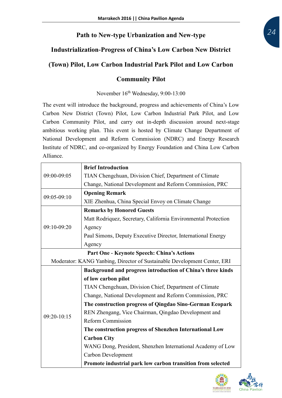# **Path to New-type Urbanization and New-type**

# **Industrialization-Progress of China's Low Carbon New District**

## **(Town) Pilot, Low Carbon Industrial Park Pilot and Low Carbon**

#### **Community Pilot**

November 16th Wednesday, 9:00-13:00

The event will introduce the background, progress and achievements of China's Low Carbon New District (Town) Pilot, Low Carbon Industrial Park Pilot, and Low Carbon Community Pilot, and carry out in-depth discussion around next-stage ambitious working plan. This event is hosted by Climate Change Department of National Development and Reform Commission (NDRC) and Energy Research Institute of NDRC, and co-organized by Energy Foundation and China Low Carbon Alliance.

|               | <b>Brief Introduction</b>                                                |
|---------------|--------------------------------------------------------------------------|
| 09:00-09:05   | TIAN Chengchuan, Division Chief, Department of Climate                   |
|               | Change, National Development and Reform Commission, PRC                  |
| 09:05-09:10   | <b>Opening Remark</b>                                                    |
|               | XIE Zhenhua, China Special Envoy on Climate Change                       |
|               | <b>Remarks by Honored Guests</b>                                         |
|               | Matt Rodriquez, Secretary, California Environmental Protection           |
| 09:10-09:20   | Agency                                                                   |
|               | Paul Simons, Deputy Executive Director, International Energy             |
|               | Agency                                                                   |
|               | Part One - Keynote Speech: China's Actions                               |
|               | Moderator: KANG Yanbing, Director of Sustainable Development Center, ERI |
|               |                                                                          |
|               | Background and progress introduction of China's three kinds              |
|               | of low carbon pilot                                                      |
|               | TIAN Chengchuan, Division Chief, Department of Climate                   |
|               | Change, National Development and Reform Commission, PRC                  |
|               | The construction progress of Qingdao Sino-German Ecopark                 |
|               | REN Zhengang, Vice Chairman, Qingdao Development and                     |
| $09:20-10:15$ | <b>Reform Commission</b>                                                 |
|               | The construction progress of Shenzhen International Low                  |
|               | <b>Carbon City</b>                                                       |
|               | WANG Dong, President, Shenzhen International Academy of Low              |
|               | Carbon Development                                                       |

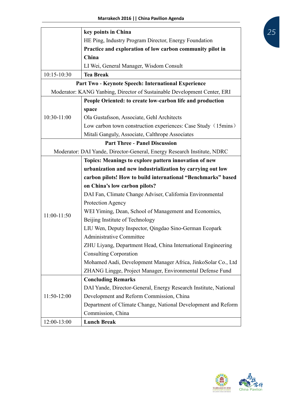|             | key points in China                                                      |
|-------------|--------------------------------------------------------------------------|
|             | HE Ping, Industry Program Director, Energy Foundation                    |
|             | Practice and exploration of low carbon community pilot in                |
|             | China                                                                    |
|             | LI Wei, General Manager, Wisdom Consult                                  |
| 10:15-10:30 | <b>Tea Break</b>                                                         |
|             | Part Two - Keynote Speech: International Experience                      |
|             | Moderator: KANG Yanbing, Director of Sustainable Development Center, ERI |
|             | People Oriented: to create low-carbon life and production                |
|             | space                                                                    |
| 10:30-11:00 | Ola Gustafsson, Associate, Gehl Architects                               |
|             | Low carbon town construction experiences: Case Study (15mins)            |
|             | Mitali Ganguly, Associate, Calthrope Associates                          |
|             | <b>Part Three - Panel Discussion</b>                                     |
|             | Moderator: DAI Yande, Director-General, Energy Research Institute, NDRC  |
|             | Topics: Meanings to explore pattern innovation of new                    |
|             | urbanization and new industrialization by carrying out low               |
|             | carbon pilots! How to build international "Benchmarks" based             |
|             | on China's low carbon pilots?                                            |
|             | DAI Fan, Climate Change Adviser, California Environmental                |
|             | Protection Agency                                                        |
| 11:00-11:50 | WEI Yiming, Dean, School of Management and Economics,                    |
|             | Beijing Institute of Technology                                          |
|             | LIU Wen, Deputy Inspector, Qingdao Sino-German Ecopark                   |
|             | <b>Administrative Committee</b>                                          |
|             | ZHU Liyang, Department Head, China International Engineering             |
|             | <b>Consulting Corporation</b>                                            |
|             | Mohamed Aadi, Development Manager Africa, JinkoSolar Co., Ltd            |
|             | ZHANG Lingge, Project Manager, Environmental Defense Fund                |
|             | <b>Concluding Remarks</b>                                                |
|             | DAI Yande, Director-General, Energy Research Institute, National         |
| 11:50-12:00 | Development and Reform Commission, China                                 |
|             | Department of Climate Change, National Development and Reform            |
|             | Commission, China                                                        |
| 12:00-13:00 | <b>Lunch Break</b>                                                       |

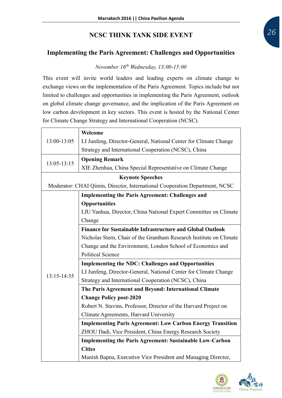#### **NCSC THINK TANK SIDE EVENT**

#### **Implementing the Paris Agreement: Challenges and Opportunities**

#### *November 16th Wednesday, 13:00-15:00*

This event will invite world leaders and leading experts on climate change to exchange views on the implementation of the Paris Agreement. Topics include but not limited to challenges and opportunities in implementing the Paris Agreement, outlook on global climate change governance, and the implication of the Paris Agreement on low carbon development in key sectors. This event is hosted by the National Center for Climate Change Strategy and International Cooperation (NCSC).

|                                                                             | Welcome                                                             |  |  |  |
|-----------------------------------------------------------------------------|---------------------------------------------------------------------|--|--|--|
| 13:00-13:05                                                                 | LI Junfeng, Director-General, National Center for Climate Change    |  |  |  |
|                                                                             | Strategy and International Cooperation (NCSC), China                |  |  |  |
| 13:05-13:15                                                                 | <b>Opening Remark</b>                                               |  |  |  |
|                                                                             | XIE Zhenhua, China Special Representative on Climate Change         |  |  |  |
| <b>Keynote Speeches</b>                                                     |                                                                     |  |  |  |
| Moderator: CHAI Qimin, Director, International Cooperation Department, NCSC |                                                                     |  |  |  |
|                                                                             | <b>Implementing the Paris Agreement: Challenges and</b>             |  |  |  |
|                                                                             | <b>Opportunities</b>                                                |  |  |  |
|                                                                             | LIU Yanhua, Director, China National Expert Committee on Climate    |  |  |  |
|                                                                             | Change                                                              |  |  |  |
|                                                                             | <b>Finance for Sustainable Infrastructure and Global Outlook</b>    |  |  |  |
|                                                                             | Nicholas Stern, Chair of the Grantham Research Institute on Climate |  |  |  |
|                                                                             | Change and the Environment, London School of Economics and          |  |  |  |
|                                                                             | <b>Political Science</b>                                            |  |  |  |
|                                                                             | <b>Implementing the NDC: Challenges and Opportunities</b>           |  |  |  |
| 13:15-14:35                                                                 | LI Junfeng, Director-General, National Center for Climate Change    |  |  |  |
|                                                                             | Strategy and International Cooperation (NCSC), China                |  |  |  |
|                                                                             | The Paris Agreement and Beyond: International Climate               |  |  |  |
|                                                                             | <b>Change Policy post-2020</b>                                      |  |  |  |
|                                                                             | Robert N. Stavins, Professor, Director of the Harvard Project on    |  |  |  |
|                                                                             | Climate Agreements, Harvard University                              |  |  |  |
|                                                                             | <b>Implementing Paris Agreement: Low Carbon Energy Transition</b>   |  |  |  |
|                                                                             | ZHOU Dadi, Vice President, China Energy Research Society            |  |  |  |
|                                                                             | <b>Implementing the Paris Agreement: Sustainable Low-Carbon</b>     |  |  |  |
|                                                                             | <b>Cities</b>                                                       |  |  |  |
|                                                                             | Manish Bapna, Executive Vice President and Managing Director,       |  |  |  |

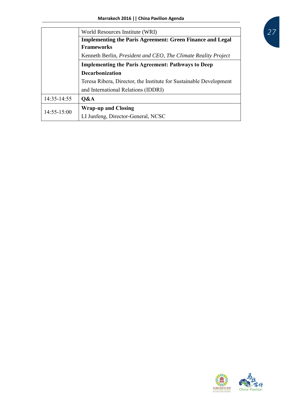|                                                                    | World Resources Institute (WRI)                                  |  |
|--------------------------------------------------------------------|------------------------------------------------------------------|--|
|                                                                    | <b>Implementing the Paris Agreement: Green Finance and Legal</b> |  |
| <b>Frameworks</b>                                                  |                                                                  |  |
|                                                                    | Kenneth Berlin, President and CEO, The Climate Reality Project   |  |
| <b>Implementing the Paris Agreement: Pathways to Deep</b>          |                                                                  |  |
| <b>Decarbonization</b>                                             |                                                                  |  |
| Teresa Ribera, Director, the Institute for Sustainable Development |                                                                  |  |
|                                                                    | and International Relations (IDDRI)                              |  |
| 14:35-14:55                                                        | O&A                                                              |  |
| $14:55 - 15:00$                                                    | <b>Wrap-up and Closing</b>                                       |  |
|                                                                    | LI Junfeng, Director-General, NCSC                               |  |



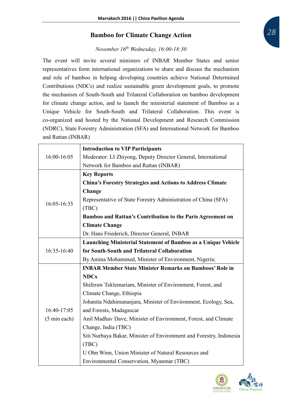#### **Bamboo for Climate Change Action**

#### *November 16th Wednesday, 16:00-18:30*

The event will invite several ministers of INBAR Member States and senior representatives form international organizations to share and discuss the mechanism and role of bamboo in helping developing countries achieve National Determined Contributions (NDCs) and realize sustainable green development goals, to promote the mechanism of South-South and Trilateral Collaboration on bamboo development for climate change action, and to launch the ministerial statement of Bamboo as a Unique Vehicle for South-South and Trilateral Collaboration. This event is co-organized and hosted by the National Development and Research Commission (NDRC), State Forestry Administration (SFA) and International Network for Bamboo and Rattan (INBAR)

|                                                                | <b>Introduction to VIP Participants</b>                              |
|----------------------------------------------------------------|----------------------------------------------------------------------|
| 16:00-16:05                                                    | Moderator: LI Zhiyong, Deputy Director General, International        |
|                                                                | Network for Bamboo and Rattan (INBAR)                                |
|                                                                | <b>Key Reports</b>                                                   |
|                                                                | <b>China's Forestry Strategies and Actions to Address Climate</b>    |
|                                                                | Change                                                               |
| 16:05-16:35                                                    | Representative of State Forestry Administration of China (SFA)       |
|                                                                | (TBC)                                                                |
|                                                                | Bamboo and Rattan's Contribution to the Paris Agreement on           |
|                                                                | <b>Climate Change</b>                                                |
|                                                                | Dr. Hans Friederich, Director General, INBAR                         |
|                                                                | <b>Launching Ministerial Statement of Bamboo as a Unique Vehicle</b> |
| 16:35-16:40                                                    | for South-South and Trilateral Collaboration                         |
|                                                                | By Amina Mohammed, Minister of Environment, Nigeria;                 |
| <b>INBAR Member State Minister Remarks on Bamboos' Role in</b> |                                                                      |
|                                                                | <b>NDCs</b>                                                          |
|                                                                | Shiferaw Teklemariam, Minister of Environment, Forest, and           |
|                                                                | Climate Change, Ethiopia                                             |
|                                                                | Johanita Ndahimananjara, Minister of Environment, Ecology, Sea,      |
| 16:40-17:05                                                    | and Forests, Madagascar                                              |
| $(5 \text{ min each})$                                         | Anil Madhav Dave, Minister of Environment, Forest, and Climate       |
|                                                                | Change, India (TBC)                                                  |
|                                                                | Siti Nurbaya Bakar, Minister of Environment and Forestry, Indonesia  |
|                                                                | (TBC)                                                                |
|                                                                | U Ohn Winn, Union Minister of Natural Resources and                  |
|                                                                | Environmental Conservation, Myanmar (TBC)                            |

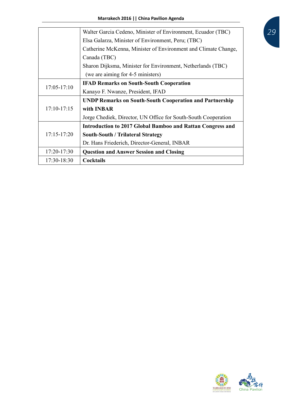|                 | Walter Garcia Cedeno, Minister of Environment, Ecuador (TBC)      |  |
|-----------------|-------------------------------------------------------------------|--|
|                 | Elsa Galarza, Minister of Environment, Peru; (TBC)                |  |
|                 | Catherine McKenna, Minister of Environment and Climate Change,    |  |
| Canada (TBC)    |                                                                   |  |
|                 | Sharon Dijksma, Minister for Environment, Netherlands (TBC)       |  |
|                 | (we are aiming for 4-5 ministers)                                 |  |
| $17:05 - 17:10$ | <b>IFAD Remarks on South-South Cooperation</b>                    |  |
|                 | Kanayo F. Nwanze, President, IFAD                                 |  |
| $17:10-17:15$   | <b>UNDP Remarks on South-South Cooperation and Partnership</b>    |  |
|                 | with <b>INBAR</b>                                                 |  |
|                 | Jorge Chediek, Director, UN Office for South-South Cooperation    |  |
| $17:15 - 17:20$ | <b>Introduction to 2017 Global Bamboo and Rattan Congress and</b> |  |
|                 | <b>South-South / Trilateral Strategy</b>                          |  |
|                 | Dr. Hans Friederich, Director-General, INBAR                      |  |
| 17:20-17:30     | <b>Question and Answer Session and Closing</b>                    |  |
| $17:30-18:30$   | <b>Cocktails</b>                                                  |  |

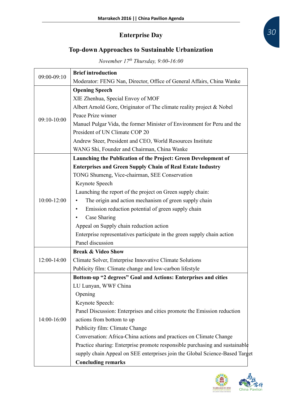# **Enterprise Day**

# **Top-down Approaches to Sustainable Urbanization**

*November 17th Thursday, 9:00-16:00*

| 09:00-09:10     | <b>Brief introduction</b>                                                   |
|-----------------|-----------------------------------------------------------------------------|
|                 | Moderator: FENG Nan, Director, Office of General Affairs, China Wanke       |
|                 | <b>Opening Speech</b>                                                       |
|                 | XIE Zhenhua, Special Envoy of MOF                                           |
|                 | Albert Arnold Gore, Originator of The climate reality project & Nobel       |
| 09:10-10:00     | Peace Prize winner                                                          |
|                 | Manuel Pulgar Vida, the former Minister of Environment for Peru and the     |
|                 | President of UN Climate COP 20                                              |
|                 | Andrew Steer, President and CEO, World Resources Institute                  |
|                 | WANG Shi, Founder and Chairman, China Wanke                                 |
|                 | Launching the Publication of the Project: Green Development of              |
|                 | <b>Enterprises and Green Supply Chain of Real Estate Industry</b>           |
|                 | TONG Shumeng, Vice-chairman, SEE Conservation                               |
|                 | Keynote Speech                                                              |
| $10:00 - 12:00$ | Launching the report of the project on Green supply chain:                  |
|                 | The origin and action mechanism of green supply chain                       |
|                 | Emission reduction potential of green supply chain                          |
|                 | Case Sharing                                                                |
|                 | Appeal on Supply chain reduction action                                     |
|                 | Enterprise representatives participate in the green supply chain action     |
|                 | Panel discussion                                                            |
|                 | <b>Break &amp; Video Show</b>                                               |
| 12:00-14:00     | Climate Solver, Enterprise Innovative Climate Solutions                     |
|                 | Publicity film: Climate change and low-carbon lifestyle                     |
|                 | Bottom-up "2 degrees" Goal and Actions: Enterprises and cities              |
|                 | LU Lunyan, WWF China                                                        |
|                 | Opening                                                                     |
|                 | Keynote Speech:                                                             |
|                 | Panel Discussion: Enterprises and cities promote the Emission reduction     |
| 14:00-16:00     | actions from bottom to up                                                   |
|                 | Publicity film: Climate Change                                              |
|                 | Conversation: Africa-China actions and practices on Climate Change          |
|                 | Practice sharing: Enterprise promote responsible purchasing and sustainable |
|                 | supply chain Appeal on SEE enterprises join the Global Science-Based Target |
|                 | <b>Concluding remarks</b>                                                   |

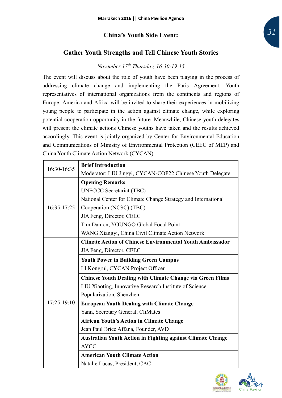#### **China's Youth Side Event:**

#### **Gather Youth Strengths and Tell Chinese Youth Stories**

# *November 17th Thursday, 16:30-19:15*

The event will discuss about the role of youth have been playing in the process of addressing climate change and implementing the Paris Agreement. Youth representatives of international organizations from the continents and regions of Europe, America and Africa will be invited to share their experiences in mobilizing young people to participate in the action against climate change, while exploring potential cooperation opportunity in the future. Meanwhile, Chinese youth delegates will present the climate actions Chinese youths have taken and the results achieved accordingly. This event is jointly organized by Center for Environmental Education and Communications of Ministry of Environmental Protection (CEEC of MEP) and China Youth Climate Action Network (CYCAN)

| 16:30-16:35 | <b>Brief Introduction</b>                                         |
|-------------|-------------------------------------------------------------------|
|             | Moderator: LIU Jingyi, CYCAN-COP22 Chinese Youth Delegate         |
|             | <b>Opening Remarks</b>                                            |
|             | <b>UNFCCC Secretariat (TBC)</b>                                   |
|             | National Center for Climate Change Strategy and International     |
| 16:35-17:25 | Cooperation (NCSC) (TBC)                                          |
|             | JIA Feng, Director, CEEC                                          |
|             | Tim Damon, YOUNGO Global Focal Point                              |
|             | WANG Xiangyi, China Civil Climate Action Network                  |
|             | <b>Climate Action of Chinese Environmental Youth Ambassador</b>   |
|             | JIA Feng, Director, CEEC                                          |
|             | <b>Youth Power in Building Green Campus</b>                       |
|             | LI Kongrui, CYCAN Project Officer                                 |
|             | <b>Chinese Youth Dealing with Climate Change via Green Films</b>  |
|             | LIU Xiaoting, Innovative Research Institute of Science            |
| 17:25-19:10 | Popularization, Shenzhen                                          |
|             | <b>European Youth Dealing with Climate Change</b>                 |
|             | Yann, Secretary General, CliMates                                 |
|             | <b>African Youth's Action in Climate Change</b>                   |
|             | Jean Paul Brice Affana, Founder, AVD                              |
|             | <b>Australian Youth Action in Fighting against Climate Change</b> |
|             | <b>AYCC</b>                                                       |
|             | <b>American Youth Climate Action</b>                              |
|             | Natalie Lucas, President, CAC                                     |